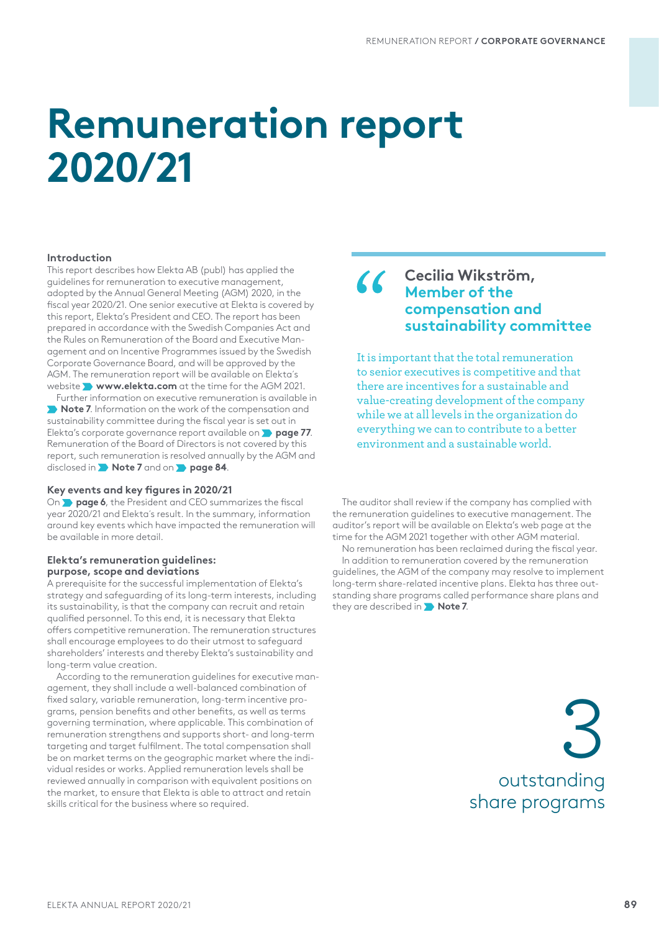# **Remuneration report 2020/21**

## **Introduction**

This report describes how Elekta AB (publ) has applied the guidelines for remuneration to executive management, adopted by the Annual General Meeting (AGM) 2020, in the fiscal year 2020/21. One senior executive at Elekta is covered by this report, Elekta's President and CEO. The report has been prepared in accordance with the Swedish Companies Act and the Rules on Remuneration of the Board and Executive Management and on Incentive Programmes issued by the Swedish Corporate Governance Board, and will be approved by the AGM. The remuneration report will be available on Elekta´s website **www.elekta.com** at the time for the AGM 2021.

Further information on executive remuneration is available in  **Note 7**. Information on the work of the compensation and sustainability committee during the fiscal year is set out in Elekta's corporate governance report available on **page 77**. Remuneration of the Board of Directors is not covered by this report, such remuneration is resolved annually by the AGM and disclosed in **Note 7** and on **page 84**.

## **Key events and key figures in 2020/21**

On **page 6**, the President and CEO summarizes the fiscal year 2020/21 and Elekta´s result. In the summary, information around key events which have impacted the remuneration will be available in more detail.

#### **Elekta's remuneration guidelines: purpose, scope and deviations**

A prerequisite for the successful implementation of Elekta's strategy and safeguarding of its long-term interests, including its sustainability, is that the company can recruit and retain qualified personnel. To this end, it is necessary that Elekta offers competitive remuneration. The remuneration structures shall encourage employees to do their utmost to safeguard shareholders' interests and thereby Elekta's sustainability and long-term value creation.

According to the remuneration guidelines for executive management, they shall include a well-balanced combination of fixed salary, variable remuneration, long-term incentive programs, pension benefits and other benefits, as well as terms governing termination, where applicable. This combination of remuneration strengthens and supports short- and long-term targeting and target fulfilment. The total compensation shall be on market terms on the geographic market where the individual resides or works. Applied remuneration levels shall be reviewed annually in comparison with equivalent positions on the market, to ensure that Elekta is able to attract and retain skills critical for the business where so required.

# **Cecilia Wikström, Member of the compensation and sustainability committee**

It is important that the total remuneration to senior executives is competitive and that there are incentives for a sustainable and value-creating development of the company while we at all levels in the organization do everything we can to contribute to a better environment and a sustainable world.

The auditor shall review if the company has complied with the remuneration guidelines to executive management. The auditor's report will be available on Elekta's web page at the time for the AGM 2021 together with other AGM material.

No remuneration has been reclaimed during the fiscal year. In addition to remuneration covered by the remuneration guidelines, the AGM of the company may resolve to implement long-term share-related incentive plans. Elekta has three outstanding share programs called performance share plans and they are described in **Note 7**.

> outstanding share programs 3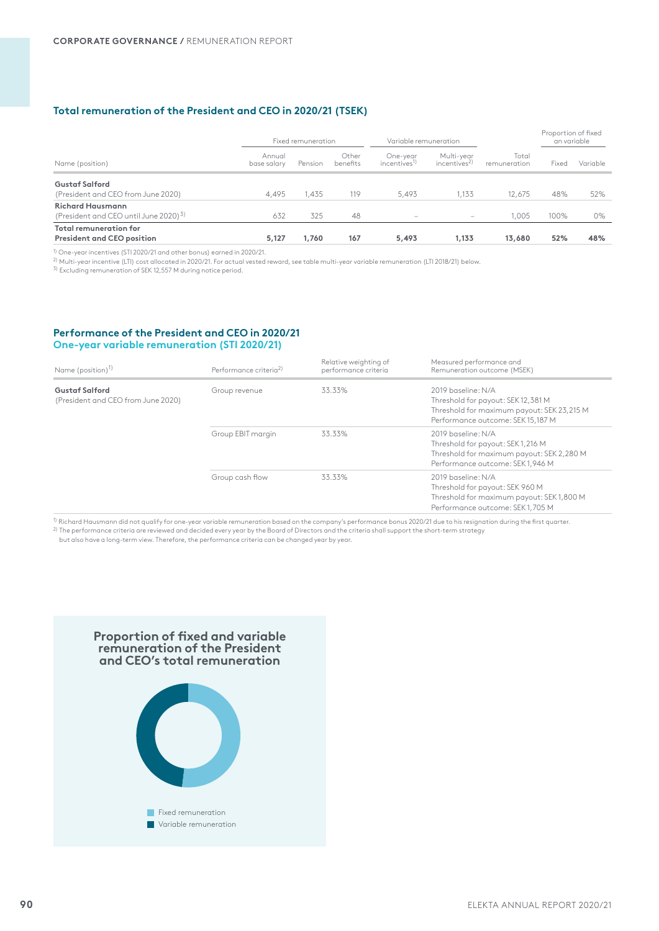# **Total remuneration of the President and CEO in 2020/21 (TSEK)**

|                                                                              |                       | Fixed remuneration |                   | Variable remuneration                |                                        |                       | Proportion of fixed<br>an variable |          |
|------------------------------------------------------------------------------|-----------------------|--------------------|-------------------|--------------------------------------|----------------------------------------|-----------------------|------------------------------------|----------|
| Name (position)                                                              | Annual<br>base salary | Pension            | Other<br>benefits | One-year<br>incentives <sup>1)</sup> | Multi-year<br>incentives <sup>2)</sup> | Total<br>remuneration | Fixed                              | Variable |
| <b>Gustaf Salford</b><br>(President and CEO from June 2020)                  | 4.495                 | 1.435              | 119               | 5.493                                | 1.133                                  | 12.675                | 48%                                | 52%      |
| <b>Richard Hausmann</b><br>(President and CEO until June 2020) <sup>3)</sup> | 632                   | 325                | 48                | $\qquad \qquad$                      | $-$                                    | 1.005                 | 100%                               | 0%       |
| <b>Total remuneration for</b><br><b>President and CEO position</b>           | 5,127                 | 1,760              | 167               | 5,493                                | 1,133                                  | 13,680                | 52%                                | 48%      |

1) One-year incentives (STI 2020/21 and other bonus) earned in 2020/21.

 $^{2)}$  Multi-year incentive (LTI) cost allocated in 2020/21. For actual vested reward, see table multi-year variable remuneration (LTI 2018/21) below.

3) Excluding remuneration of SEK 12,557 M during notice period.

## **Performance of the President and CEO in 2020/21 One-year variable remuneration (STI 2020/21)**

| Name (position) <sup>1)</sup>                               | Performance criteria <sup>2)</sup> | Relative weighting of<br>performance criteria | Measured performance and<br>Remuneration outcome (MSEK)                                                                                     |
|-------------------------------------------------------------|------------------------------------|-----------------------------------------------|---------------------------------------------------------------------------------------------------------------------------------------------|
| <b>Gustaf Salford</b><br>(President and CEO from June 2020) | Group revenue                      | 33.33%                                        | 2019 baseline: N/A<br>Threshold for payout: SEK 12,381 M<br>Threshold for maximum payout: SEK 23,215 M<br>Performance outcome: SEK 15,187 M |
|                                                             | Group EBIT margin                  | 33.33%                                        | 2019 baseline: N/A<br>Threshold for payout: SEK1,216 M<br>Threshold for maximum payout: SEK 2,280 M<br>Performance outcome: SEK 1.946 M     |
|                                                             | Group cash flow                    | 33.33%                                        | 2019 baseline: N/A<br>Threshold for payout: SEK 960 M<br>Threshold for maximum payout: SEK1,800 M<br>Performance outcome: SEK1,705 M        |

 $^{\rm 1)}$  Richard Hausmann did not qualify for one-year variable remuneration based on the company's performance bonus 2020/21 due to his resignation during the first quarter. 2) The performance criteria are reviewed and decided every year by the Board of Directors and the criteria shall support the short-term strategy

but also have a long-term view. Therefore, the performance criteria can be changed year by year.